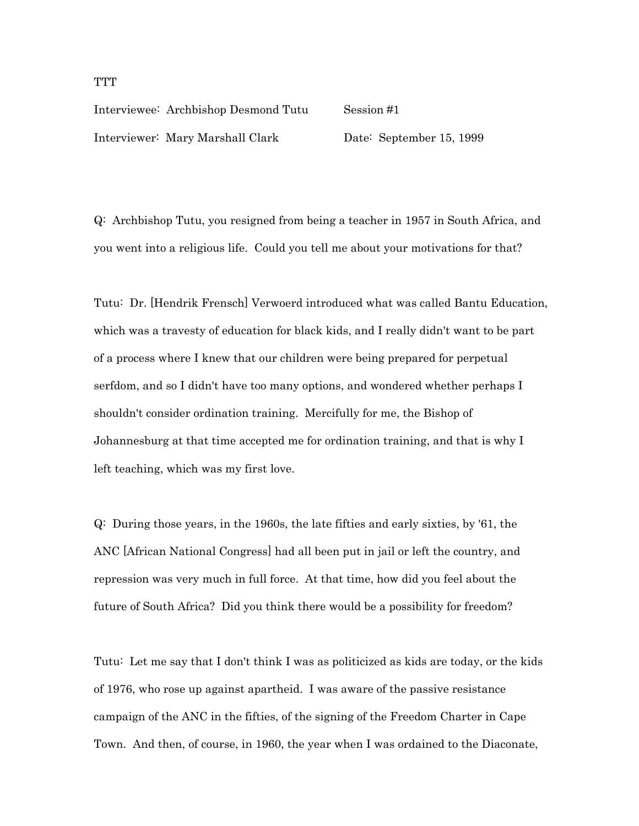## Interviewee: Archbishop Desmond Tutu Session #1 Interviewer: Mary Marshall Clark Date: September 15, 1999

Q: Archbishop Tutu, you resigned from being a teacher in 1957 in South Africa, and you went into a religious life. Could you tell me about your motivations for that?

Tutu: Dr. [Hendrik Frensch] Verwoerd introduced what was called Bantu Education, which was a travesty of education for black kids, and I really didn't want to be part of a process where I knew that our children were being prepared for perpetual serfdom, and so I didn't have too many options, and wondered whether perhaps I shouldn't consider ordination training. Mercifully for me, the Bishop of Johannesburg at that time accepted me for ordination training, and that is why I left teaching, which was my first love.

Q: During those years, in the 1960s, the late fifties and early sixties, by '61, the ANC [African National Congress] had all been put in jail or left the country, and repression was very much in full force. At that time, how did you feel about the future of South Africa? Did you think there would be a possibility for freedom?

Tutu: Let me say that I don't think I was as politicized as kids are today, or the kids of 1976, who rose up against apartheid. I was aware of the passive resistance campaign of the ANC in the fifties, of the signing of the Freedom Charter in Cape Town. And then, of course, in 1960, the year when I was ordained to the Diaconate,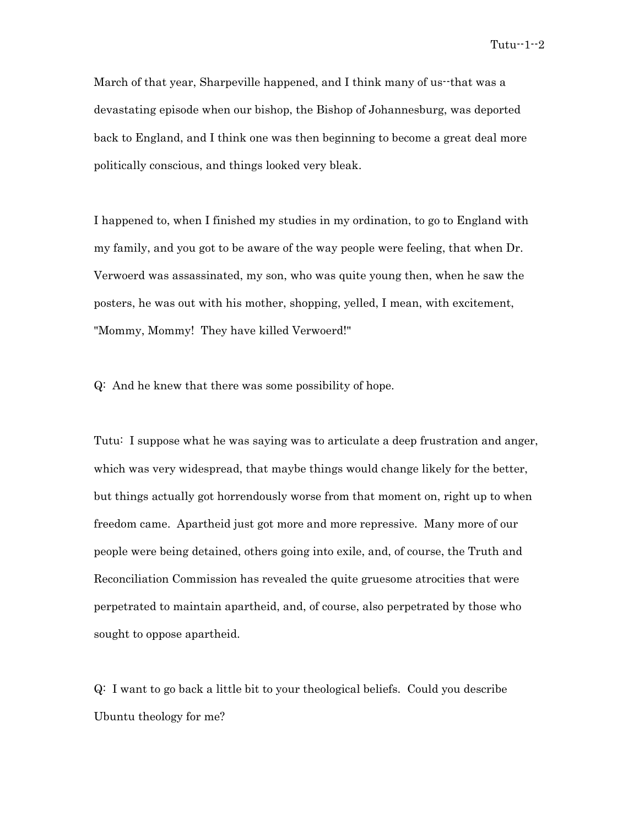March of that year, Sharpeville happened, and I think many of us--that was a devastating episode when our bishop, the Bishop of Johannesburg, was deported back to England, and I think one was then beginning to become a great deal more politically conscious, and things looked very bleak.

I happened to, when I finished my studies in my ordination, to go to England with my family, and you got to be aware of the way people were feeling, that when Dr. Verwoerd was assassinated, my son, who was quite young then, when he saw the posters, he was out with his mother, shopping, yelled, I mean, with excitement, "Mommy, Mommy! They have killed Verwoerd!"

Q: And he knew that there was some possibility of hope.

Tutu: I suppose what he was saying was to articulate a deep frustration and anger, which was very widespread, that maybe things would change likely for the better, but things actually got horrendously worse from that moment on, right up to when freedom came. Apartheid just got more and more repressive. Many more of our people were being detained, others going into exile, and, of course, the Truth and Reconciliation Commission has revealed the quite gruesome atrocities that were perpetrated to maintain apartheid, and, of course, also perpetrated by those who sought to oppose apartheid.

Q: I want to go back a little bit to your theological beliefs. Could you describe Ubuntu theology for me?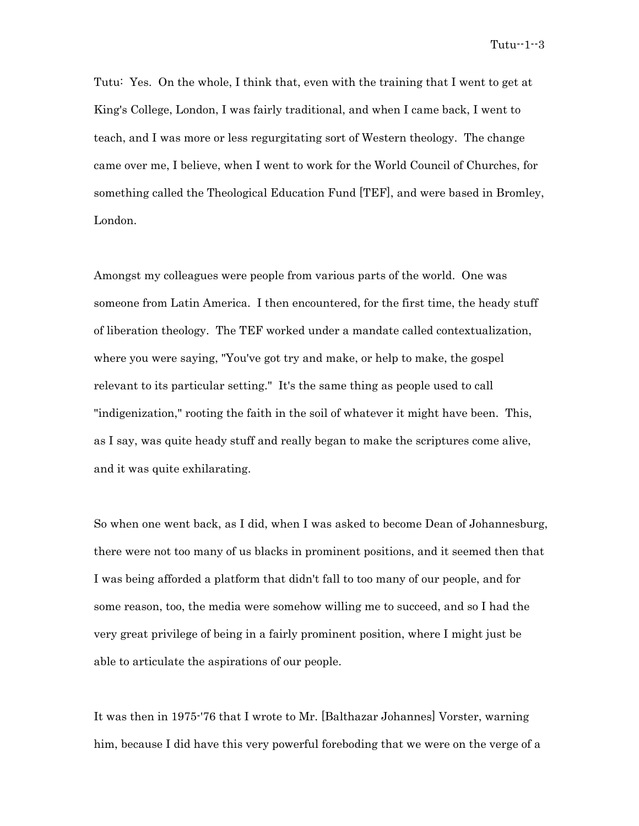Tutu: Yes. On the whole, I think that, even with the training that I went to get at King's College, London, I was fairly traditional, and when I came back, I went to teach, and I was more or less regurgitating sort of Western theology. The change came over me, I believe, when I went to work for the World Council of Churches, for something called the Theological Education Fund [TEF], and were based in Bromley, London.

Amongst my colleagues were people from various parts of the world. One was someone from Latin America. I then encountered, for the first time, the heady stuff of liberation theology. The TEF worked under a mandate called contextualization, where you were saying, "You've got try and make, or help to make, the gospel relevant to its particular setting." It's the same thing as people used to call "indigenization," rooting the faith in the soil of whatever it might have been. This, as I say, was quite heady stuff and really began to make the scriptures come alive, and it was quite exhilarating.

So when one went back, as I did, when I was asked to become Dean of Johannesburg, there were not too many of us blacks in prominent positions, and it seemed then that I was being afforded a platform that didn't fall to too many of our people, and for some reason, too, the media were somehow willing me to succeed, and so I had the very great privilege of being in a fairly prominent position, where I might just be able to articulate the aspirations of our people.

It was then in 1975-'76 that I wrote to Mr. [Balthazar Johannes] Vorster, warning him, because I did have this very powerful foreboding that we were on the verge of a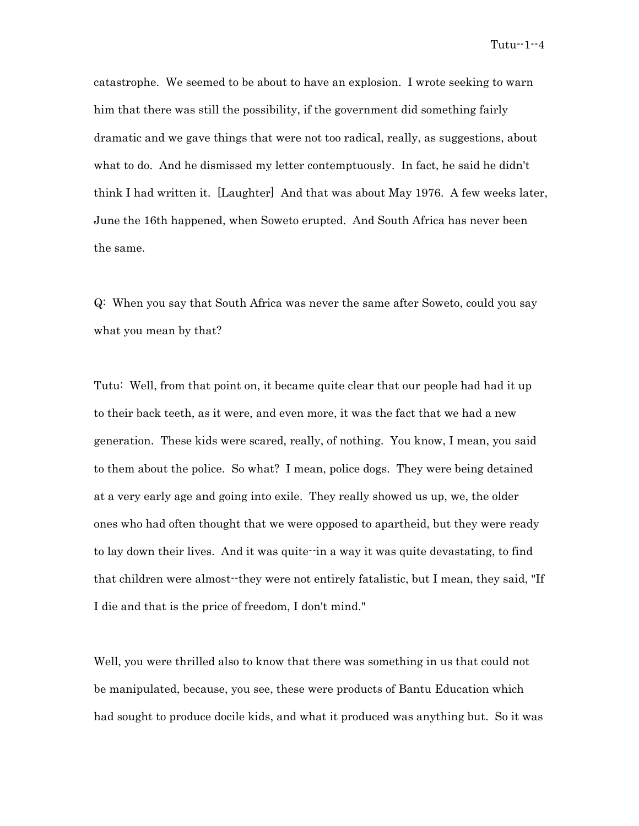catastrophe. We seemed to be about to have an explosion. I wrote seeking to warn him that there was still the possibility, if the government did something fairly dramatic and we gave things that were not too radical, really, as suggestions, about what to do. And he dismissed my letter contemptuously. In fact, he said he didn't think I had written it. [Laughter] And that was about May 1976. A few weeks later, June the 16th happened, when Soweto erupted. And South Africa has never been the same.

Q: When you say that South Africa was never the same after Soweto, could you say what you mean by that?

Tutu: Well, from that point on, it became quite clear that our people had had it up to their back teeth, as it were, and even more, it was the fact that we had a new generation. These kids were scared, really, of nothing. You know, I mean, you said to them about the police. So what? I mean, police dogs. They were being detained at a very early age and going into exile. They really showed us up, we, the older ones who had often thought that we were opposed to apartheid, but they were ready to lay down their lives. And it was quite--in a way it was quite devastating, to find that children were almost--they were not entirely fatalistic, but I mean, they said, "If I die and that is the price of freedom, I don't mind."

Well, you were thrilled also to know that there was something in us that could not be manipulated, because, you see, these were products of Bantu Education which had sought to produce docile kids, and what it produced was anything but. So it was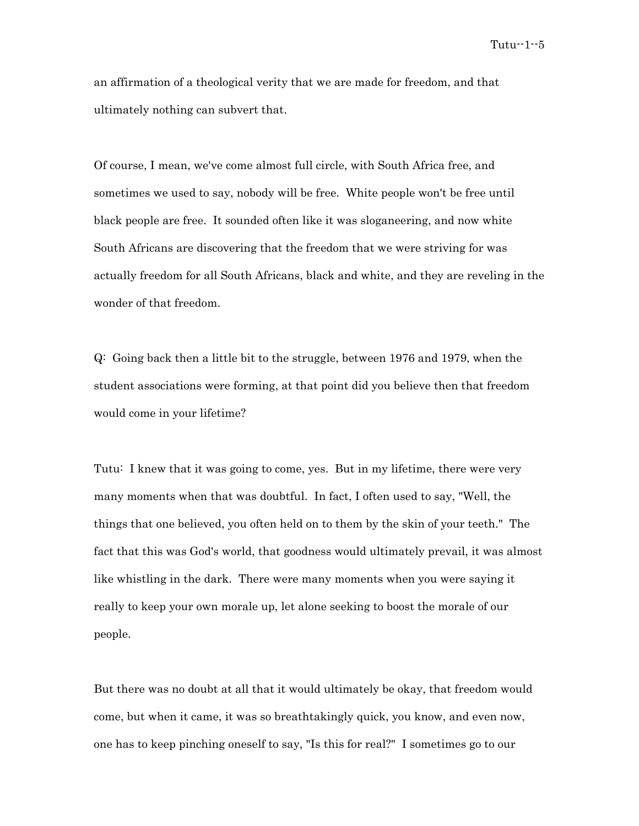an affirmation of a theological verity that we are made for freedom, and that ultimately nothing can subvert that.

Of course, I mean, we've come almost full circle, with South Africa free, and sometimes we used to say, nobody will be free. White people won't be free until black people are free. It sounded often like it was sloganeering, and now white South Africans are discovering that the freedom that we were striving for was actually freedom for all South Africans, black and white, and they are reveling in the wonder of that freedom.

Q: Going back then a little bit to the struggle, between 1976 and 1979, when the student associations were forming, at that point did you believe then that freedom would come in your lifetime?

Tutu: I knew that it was going to come, yes. But in my lifetime, there were very many moments when that was doubtful. In fact, I often used to say, "Well, the things that one believed, you often held on to them by the skin of your teeth." The fact that this was God's world, that goodness would ultimately prevail, it was almost like whistling in the dark. There were many moments when you were saying it really to keep your own morale up, let alone seeking to boost the morale of our people.

But there was no doubt at all that it would ultimately be okay, that freedom would come, but when it came, it was so breathtakingly quick, you know, and even now, one has to keep pinching oneself to say, "Is this for real?" I sometimes go to our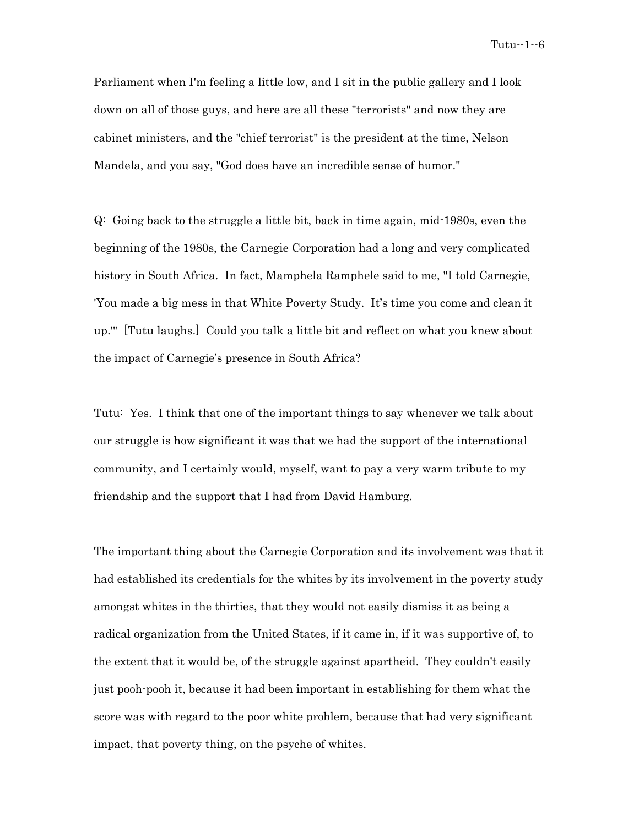Parliament when I'm feeling a little low, and I sit in the public gallery and I look down on all of those guys, and here are all these "terrorists" and now they are cabinet ministers, and the "chief terrorist" is the president at the time, Nelson Mandela, and you say, "God does have an incredible sense of humor."

Q: Going back to the struggle a little bit, back in time again, mid-1980s, even the beginning of the 1980s, the Carnegie Corporation had a long and very complicated history in South Africa. In fact, Mamphela Ramphele said to me, "I told Carnegie, 'You made a big mess in that White Poverty Study. It's time you come and clean it up.'" [Tutu laughs.] Could you talk a little bit and reflect on what you knew about the impact of Carnegie's presence in South Africa?

Tutu: Yes. I think that one of the important things to say whenever we talk about our struggle is how significant it was that we had the support of the international community, and I certainly would, myself, want to pay a very warm tribute to my friendship and the support that I had from David Hamburg.

The important thing about the Carnegie Corporation and its involvement was that it had established its credentials for the whites by its involvement in the poverty study amongst whites in the thirties, that they would not easily dismiss it as being a radical organization from the United States, if it came in, if it was supportive of, to the extent that it would be, of the struggle against apartheid. They couldn't easily just pooh-pooh it, because it had been important in establishing for them what the score was with regard to the poor white problem, because that had very significant impact, that poverty thing, on the psyche of whites.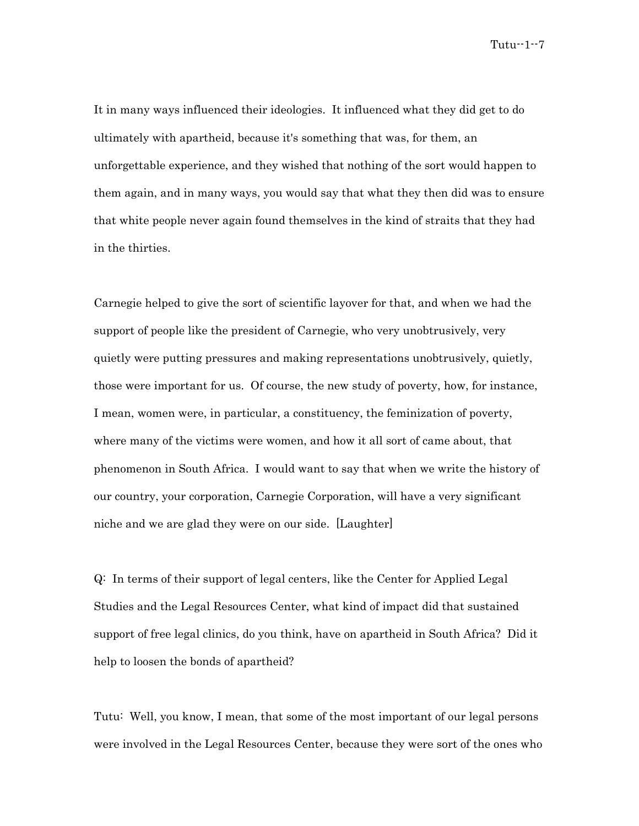It in many ways influenced their ideologies. It influenced what they did get to do ultimately with apartheid, because it's something that was, for them, an unforgettable experience, and they wished that nothing of the sort would happen to them again, and in many ways, you would say that what they then did was to ensure that white people never again found themselves in the kind of straits that they had in the thirties.

Carnegie helped to give the sort of scientific layover for that, and when we had the support of people like the president of Carnegie, who very unobtrusively, very quietly were putting pressures and making representations unobtrusively, quietly, those were important for us. Of course, the new study of poverty, how, for instance, I mean, women were, in particular, a constituency, the feminization of poverty, where many of the victims were women, and how it all sort of came about, that phenomenon in South Africa. I would want to say that when we write the history of our country, your corporation, Carnegie Corporation, will have a very significant niche and we are glad they were on our side. [Laughter]

Q: In terms of their support of legal centers, like the Center for Applied Legal Studies and the Legal Resources Center, what kind of impact did that sustained support of free legal clinics, do you think, have on apartheid in South Africa? Did it help to loosen the bonds of apartheid?

Tutu: Well, you know, I mean, that some of the most important of our legal persons were involved in the Legal Resources Center, because they were sort of the ones who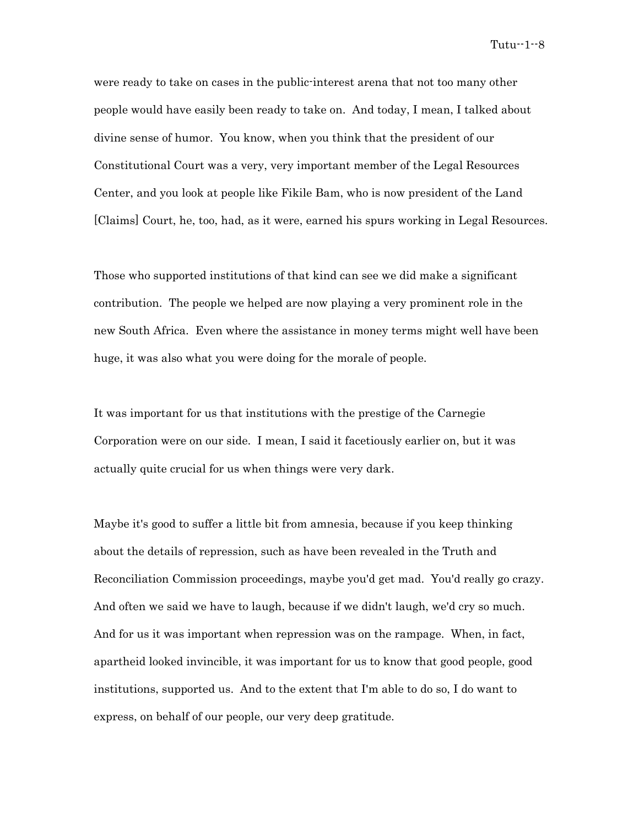were ready to take on cases in the public-interest arena that not too many other people would have easily been ready to take on. And today, I mean, I talked about divine sense of humor. You know, when you think that the president of our Constitutional Court was a very, very important member of the Legal Resources Center, and you look at people like Fikile Bam, who is now president of the Land [Claims] Court, he, too, had, as it were, earned his spurs working in Legal Resources.

Those who supported institutions of that kind can see we did make a significant contribution. The people we helped are now playing a very prominent role in the new South Africa. Even where the assistance in money terms might well have been huge, it was also what you were doing for the morale of people.

It was important for us that institutions with the prestige of the Carnegie Corporation were on our side. I mean, I said it facetiously earlier on, but it was actually quite crucial for us when things were very dark.

Maybe it's good to suffer a little bit from amnesia, because if you keep thinking about the details of repression, such as have been revealed in the Truth and Reconciliation Commission proceedings, maybe you'd get mad. You'd really go crazy. And often we said we have to laugh, because if we didn't laugh, we'd cry so much. And for us it was important when repression was on the rampage. When, in fact, apartheid looked invincible, it was important for us to know that good people, good institutions, supported us. And to the extent that I'm able to do so, I do want to express, on behalf of our people, our very deep gratitude.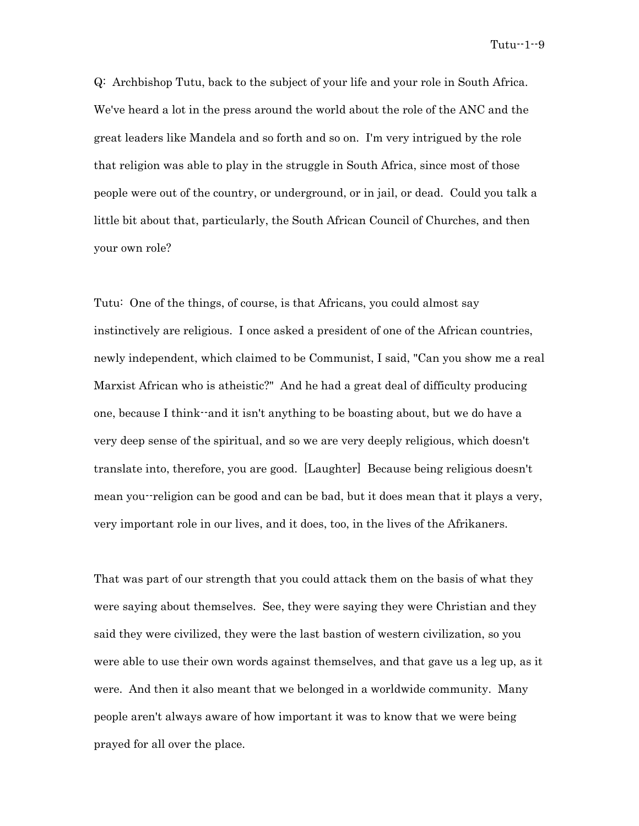Q: Archbishop Tutu, back to the subject of your life and your role in South Africa. We've heard a lot in the press around the world about the role of the ANC and the great leaders like Mandela and so forth and so on. I'm very intrigued by the role that religion was able to play in the struggle in South Africa, since most of those people were out of the country, or underground, or in jail, or dead. Could you talk a little bit about that, particularly, the South African Council of Churches, and then your own role?

Tutu: One of the things, of course, is that Africans, you could almost say instinctively are religious. I once asked a president of one of the African countries, newly independent, which claimed to be Communist, I said, "Can you show me a real Marxist African who is atheistic?" And he had a great deal of difficulty producing one, because I think--and it isn't anything to be boasting about, but we do have a very deep sense of the spiritual, and so we are very deeply religious, which doesn't translate into, therefore, you are good. [Laughter] Because being religious doesn't mean you--religion can be good and can be bad, but it does mean that it plays a very, very important role in our lives, and it does, too, in the lives of the Afrikaners.

That was part of our strength that you could attack them on the basis of what they were saying about themselves. See, they were saying they were Christian and they said they were civilized, they were the last bastion of western civilization, so you were able to use their own words against themselves, and that gave us a leg up, as it were. And then it also meant that we belonged in a worldwide community. Many people aren't always aware of how important it was to know that we were being prayed for all over the place.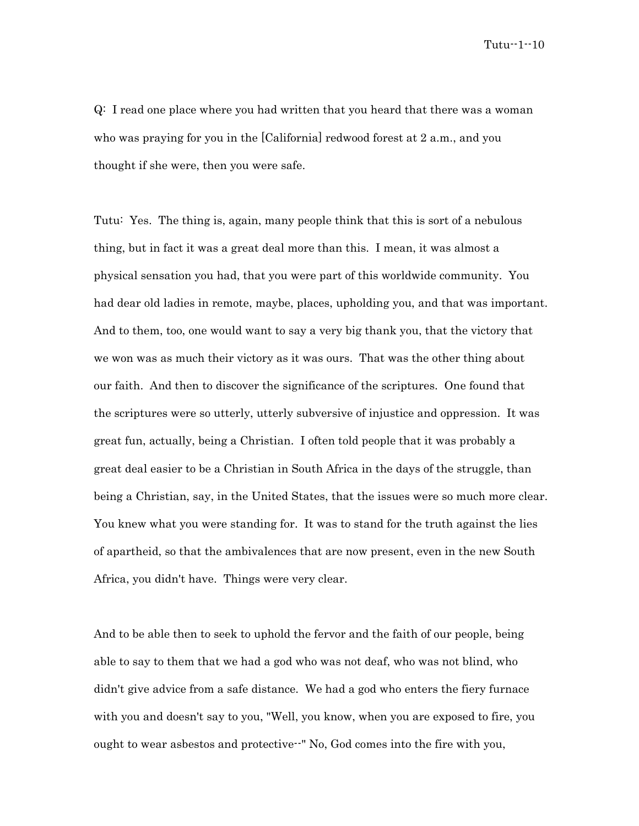Q: I read one place where you had written that you heard that there was a woman who was praying for you in the [California] redwood forest at 2 a.m., and you thought if she were, then you were safe.

Tutu: Yes. The thing is, again, many people think that this is sort of a nebulous thing, but in fact it was a great deal more than this. I mean, it was almost a physical sensation you had, that you were part of this worldwide community. You had dear old ladies in remote, maybe, places, upholding you, and that was important. And to them, too, one would want to say a very big thank you, that the victory that we won was as much their victory as it was ours. That was the other thing about our faith. And then to discover the significance of the scriptures. One found that the scriptures were so utterly, utterly subversive of injustice and oppression. It was great fun, actually, being a Christian. I often told people that it was probably a great deal easier to be a Christian in South Africa in the days of the struggle, than being a Christian, say, in the United States, that the issues were so much more clear. You knew what you were standing for. It was to stand for the truth against the lies of apartheid, so that the ambivalences that are now present, even in the new South Africa, you didn't have. Things were very clear.

And to be able then to seek to uphold the fervor and the faith of our people, being able to say to them that we had a god who was not deaf, who was not blind, who didn't give advice from a safe distance. We had a god who enters the fiery furnace with you and doesn't say to you, "Well, you know, when you are exposed to fire, you ought to wear asbestos and protective--" No, God comes into the fire with you,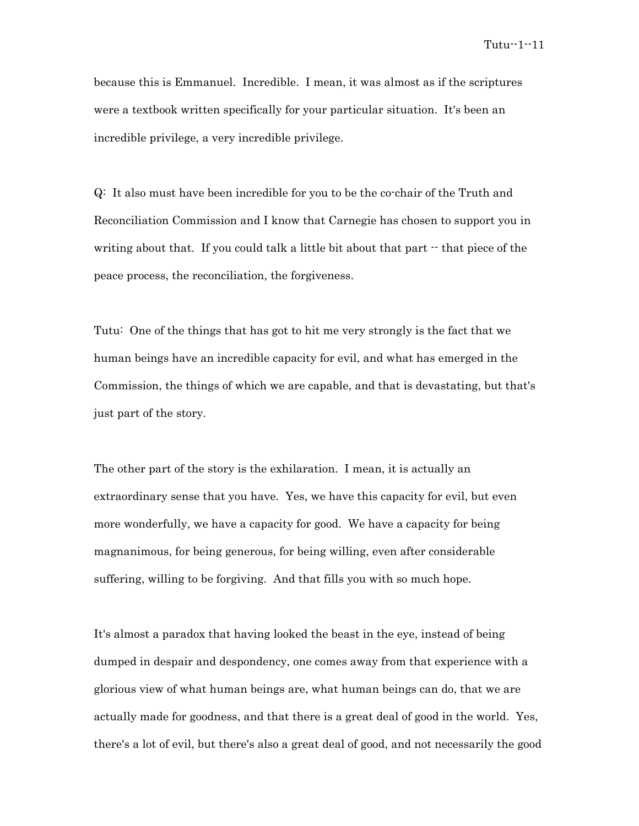because this is Emmanuel. Incredible. I mean, it was almost as if the scriptures were a textbook written specifically for your particular situation. It's been an incredible privilege, a very incredible privilege.

Q: It also must have been incredible for you to be the co-chair of the Truth and Reconciliation Commission and I know that Carnegie has chosen to support you in writing about that. If you could talk a little bit about that part  $\cdot$  that piece of the peace process, the reconciliation, the forgiveness.

Tutu: One of the things that has got to hit me very strongly is the fact that we human beings have an incredible capacity for evil, and what has emerged in the Commission, the things of which we are capable, and that is devastating, but that's just part of the story.

The other part of the story is the exhilaration. I mean, it is actually an extraordinary sense that you have. Yes, we have this capacity for evil, but even more wonderfully, we have a capacity for good. We have a capacity for being magnanimous, for being generous, for being willing, even after considerable suffering, willing to be forgiving. And that fills you with so much hope.

It's almost a paradox that having looked the beast in the eye, instead of being dumped in despair and despondency, one comes away from that experience with a glorious view of what human beings are, what human beings can do, that we are actually made for goodness, and that there is a great deal of good in the world. Yes, there's a lot of evil, but there's also a great deal of good, and not necessarily the good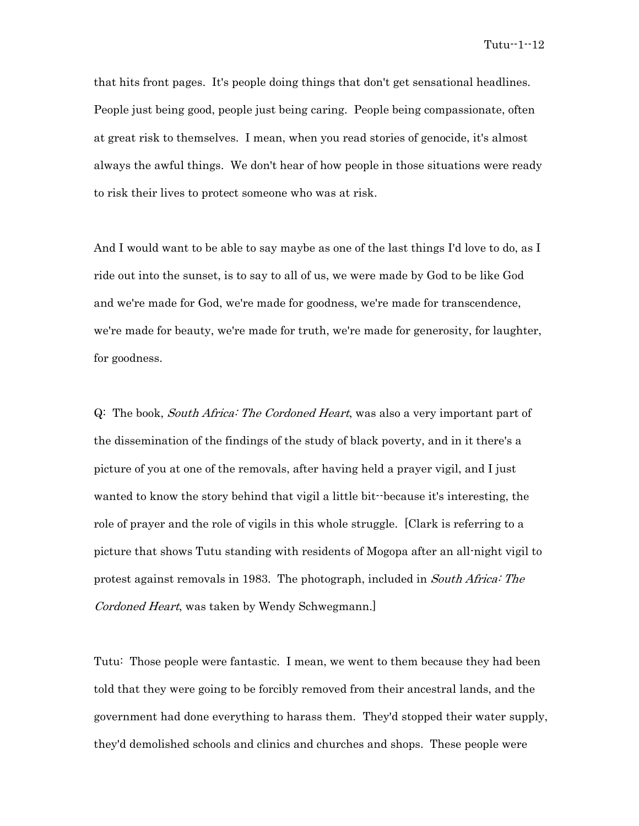that hits front pages. It's people doing things that don't get sensational headlines. People just being good, people just being caring. People being compassionate, often at great risk to themselves. I mean, when you read stories of genocide, it's almost always the awful things. We don't hear of how people in those situations were ready to risk their lives to protect someone who was at risk.

And I would want to be able to say maybe as one of the last things I'd love to do, as I ride out into the sunset, is to say to all of us, we were made by God to be like God and we're made for God, we're made for goodness, we're made for transcendence, we're made for beauty, we're made for truth, we're made for generosity, for laughter, for goodness.

Q: The book, South Africa: The Cordoned Heart, was also a very important part of the dissemination of the findings of the study of black poverty, and in it there's a picture of you at one of the removals, after having held a prayer vigil, and I just wanted to know the story behind that vigil a little bit--because it's interesting, the role of prayer and the role of vigils in this whole struggle. [Clark is referring to a picture that shows Tutu standing with residents of Mogopa after an all-night vigil to protest against removals in 1983. The photograph, included in South Africa: The Cordoned Heart, was taken by Wendy Schwegmann.]

Tutu: Those people were fantastic. I mean, we went to them because they had been told that they were going to be forcibly removed from their ancestral lands, and the government had done everything to harass them. They'd stopped their water supply, they'd demolished schools and clinics and churches and shops. These people were